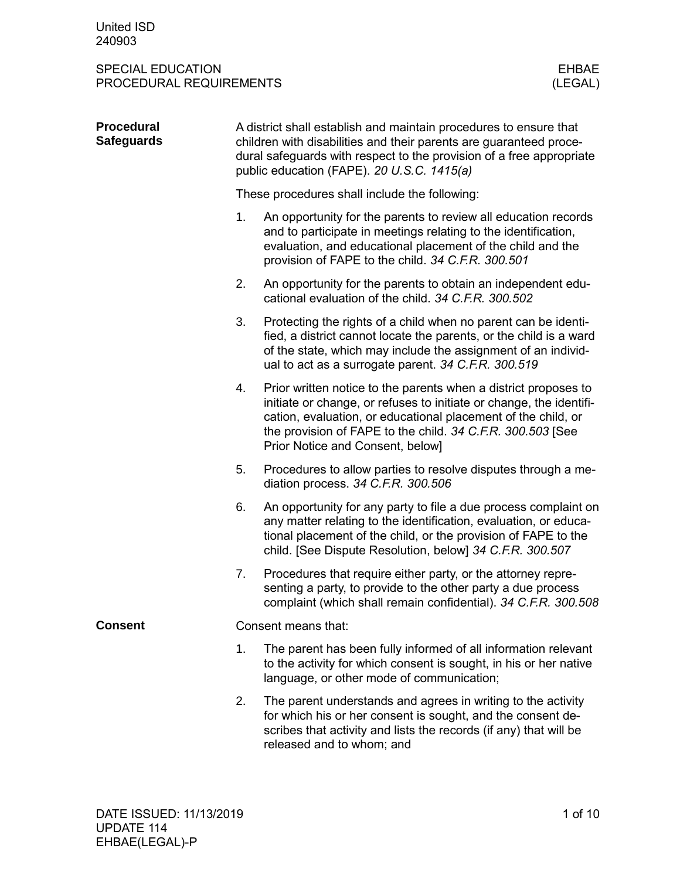| <b>Procedural</b><br><b>Safeguards</b> | A district shall establish and maintain procedures to ensure that<br>children with disabilities and their parents are guaranteed proce-<br>dural safeguards with respect to the provision of a free appropriate<br>public education (FAPE). 20 U.S.C. 1415(a) |                                                                                                                                                                                                                                                                                                           |  |  |  |  |
|----------------------------------------|---------------------------------------------------------------------------------------------------------------------------------------------------------------------------------------------------------------------------------------------------------------|-----------------------------------------------------------------------------------------------------------------------------------------------------------------------------------------------------------------------------------------------------------------------------------------------------------|--|--|--|--|
|                                        | These procedures shall include the following:                                                                                                                                                                                                                 |                                                                                                                                                                                                                                                                                                           |  |  |  |  |
|                                        | 1.                                                                                                                                                                                                                                                            | An opportunity for the parents to review all education records<br>and to participate in meetings relating to the identification,<br>evaluation, and educational placement of the child and the<br>provision of FAPE to the child. 34 C.F.R. 300.501                                                       |  |  |  |  |
|                                        | 2.                                                                                                                                                                                                                                                            | An opportunity for the parents to obtain an independent edu-<br>cational evaluation of the child. 34 C.F.R. 300.502                                                                                                                                                                                       |  |  |  |  |
|                                        | 3.                                                                                                                                                                                                                                                            | Protecting the rights of a child when no parent can be identi-<br>fied, a district cannot locate the parents, or the child is a ward<br>of the state, which may include the assignment of an individ-<br>ual to act as a surrogate parent. 34 C.F.R. 300.519                                              |  |  |  |  |
|                                        | 4.                                                                                                                                                                                                                                                            | Prior written notice to the parents when a district proposes to<br>initiate or change, or refuses to initiate or change, the identifi-<br>cation, evaluation, or educational placement of the child, or<br>the provision of FAPE to the child. 34 C.F.R. 300.503 [See<br>Prior Notice and Consent, below] |  |  |  |  |
|                                        | 5.                                                                                                                                                                                                                                                            | Procedures to allow parties to resolve disputes through a me-<br>diation process. 34 C.F.R. 300.506                                                                                                                                                                                                       |  |  |  |  |
|                                        | 6.                                                                                                                                                                                                                                                            | An opportunity for any party to file a due process complaint on<br>any matter relating to the identification, evaluation, or educa-<br>tional placement of the child, or the provision of FAPE to the<br>child. [See Dispute Resolution, below] 34 C.F.R. 300.507                                         |  |  |  |  |
|                                        | 7.                                                                                                                                                                                                                                                            | Procedures that require either party, or the attorney repre-<br>senting a party, to provide to the other party a due process<br>complaint (which shall remain confidential). 34 C.F.R. 300.508                                                                                                            |  |  |  |  |
| <b>Consent</b>                         |                                                                                                                                                                                                                                                               | Consent means that:                                                                                                                                                                                                                                                                                       |  |  |  |  |
|                                        | 1.                                                                                                                                                                                                                                                            | The parent has been fully informed of all information relevant<br>to the activity for which consent is sought, in his or her native<br>language, or other mode of communication;                                                                                                                          |  |  |  |  |
|                                        | 2.                                                                                                                                                                                                                                                            | The parent understands and agrees in writing to the activity<br>for which his or her consent is sought, and the consent de-<br>scribes that activity and lists the records (if any) that will be<br>released and to whom; and                                                                             |  |  |  |  |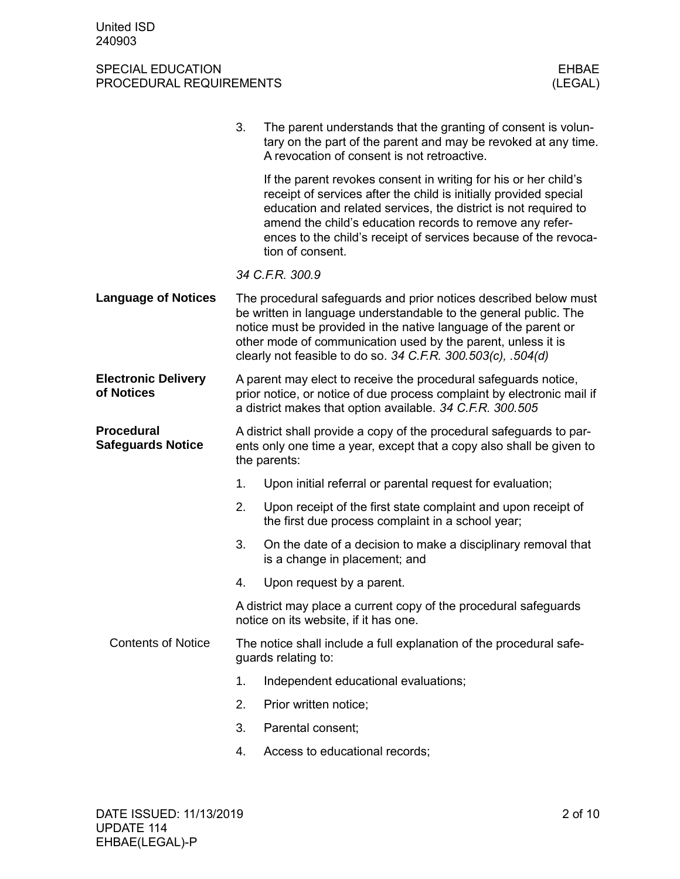#### SPECIAL EDUCATION FROCEDURAL REQUIREMENTS AND SUMMON SERVICES OF THE SERVICE OF THE SERVICE OF THE SERVICE OF T<br>
STRINGED AND THE SERVICE OF THE SERVICE OF THE SERVICE OF THE SERVICE OF THE SERVICE OF THE SERVICE OF THE SE PROCEDURAL REQUIREMENTS

|                                               | 3.                                                                                         | The parent understands that the granting of consent is volun-<br>tary on the part of the parent and may be revoked at any time.<br>A revocation of consent is not retroactive.                                                                                                                                                                             |  |  |
|-----------------------------------------------|--------------------------------------------------------------------------------------------|------------------------------------------------------------------------------------------------------------------------------------------------------------------------------------------------------------------------------------------------------------------------------------------------------------------------------------------------------------|--|--|
|                                               |                                                                                            | If the parent revokes consent in writing for his or her child's<br>receipt of services after the child is initially provided special<br>education and related services, the district is not required to<br>amend the child's education records to remove any refer-<br>ences to the child's receipt of services because of the revoca-<br>tion of consent. |  |  |
|                                               |                                                                                            | 34 C.F.R. 300.9                                                                                                                                                                                                                                                                                                                                            |  |  |
| <b>Language of Notices</b>                    |                                                                                            | The procedural safeguards and prior notices described below must<br>be written in language understandable to the general public. The<br>notice must be provided in the native language of the parent or<br>other mode of communication used by the parent, unless it is<br>clearly not feasible to do so. 34 C.F.R. 300.503(c), .504(d)                    |  |  |
| <b>Electronic Delivery</b><br>of Notices      |                                                                                            | A parent may elect to receive the procedural safeguards notice,<br>prior notice, or notice of due process complaint by electronic mail if<br>a district makes that option available. 34 C.F.R. 300.505                                                                                                                                                     |  |  |
| <b>Procedural</b><br><b>Safeguards Notice</b> |                                                                                            | A district shall provide a copy of the procedural safeguards to par-<br>ents only one time a year, except that a copy also shall be given to<br>the parents:                                                                                                                                                                                               |  |  |
|                                               | 1.                                                                                         | Upon initial referral or parental request for evaluation;                                                                                                                                                                                                                                                                                                  |  |  |
|                                               | 2.                                                                                         | Upon receipt of the first state complaint and upon receipt of<br>the first due process complaint in a school year;                                                                                                                                                                                                                                         |  |  |
|                                               | 3.                                                                                         | On the date of a decision to make a disciplinary removal that<br>is a change in placement; and                                                                                                                                                                                                                                                             |  |  |
|                                               | 4.                                                                                         | Upon request by a parent.                                                                                                                                                                                                                                                                                                                                  |  |  |
|                                               |                                                                                            | A district may place a current copy of the procedural safeguards<br>notice on its website, if it has one.                                                                                                                                                                                                                                                  |  |  |
| <b>Contents of Notice</b>                     | The notice shall include a full explanation of the procedural safe-<br>guards relating to: |                                                                                                                                                                                                                                                                                                                                                            |  |  |
|                                               | 1.                                                                                         | Independent educational evaluations;                                                                                                                                                                                                                                                                                                                       |  |  |
|                                               | 2.                                                                                         | Prior written notice;                                                                                                                                                                                                                                                                                                                                      |  |  |
|                                               | 3.                                                                                         | Parental consent;                                                                                                                                                                                                                                                                                                                                          |  |  |
|                                               | 4.                                                                                         | Access to educational records;                                                                                                                                                                                                                                                                                                                             |  |  |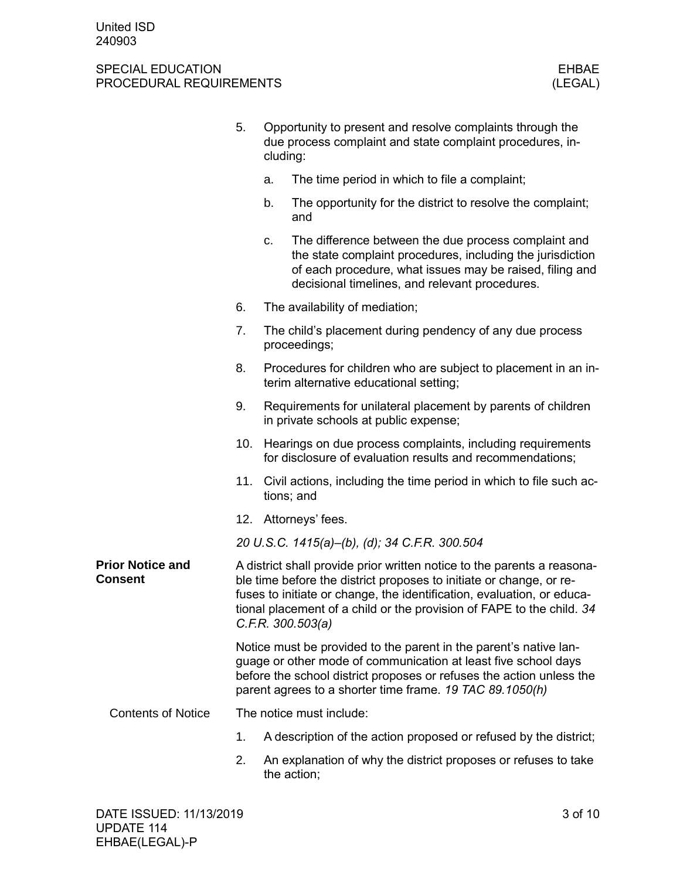|                                           | 5.  | Opportunity to present and resolve complaints through the<br>due process complaint and state complaint procedures, in-<br>cluding: |                                                                                                                                                                                                                                                                                                                        |  |  |
|-------------------------------------------|-----|------------------------------------------------------------------------------------------------------------------------------------|------------------------------------------------------------------------------------------------------------------------------------------------------------------------------------------------------------------------------------------------------------------------------------------------------------------------|--|--|
|                                           |     | a.                                                                                                                                 | The time period in which to file a complaint;                                                                                                                                                                                                                                                                          |  |  |
|                                           |     | b.                                                                                                                                 | The opportunity for the district to resolve the complaint;<br>and                                                                                                                                                                                                                                                      |  |  |
|                                           |     | C.                                                                                                                                 | The difference between the due process complaint and<br>the state complaint procedures, including the jurisdiction<br>of each procedure, what issues may be raised, filing and<br>decisional timelines, and relevant procedures.                                                                                       |  |  |
|                                           | 6.  |                                                                                                                                    | The availability of mediation;                                                                                                                                                                                                                                                                                         |  |  |
|                                           | 7.  |                                                                                                                                    | The child's placement during pendency of any due process<br>proceedings;                                                                                                                                                                                                                                               |  |  |
|                                           | 8.  |                                                                                                                                    | Procedures for children who are subject to placement in an in-<br>terim alternative educational setting;                                                                                                                                                                                                               |  |  |
|                                           | 9.  |                                                                                                                                    | Requirements for unilateral placement by parents of children<br>in private schools at public expense;                                                                                                                                                                                                                  |  |  |
|                                           | 10. |                                                                                                                                    | Hearings on due process complaints, including requirements<br>for disclosure of evaluation results and recommendations;                                                                                                                                                                                                |  |  |
|                                           | 11. |                                                                                                                                    | Civil actions, including the time period in which to file such ac-<br>tions; and                                                                                                                                                                                                                                       |  |  |
|                                           |     |                                                                                                                                    | 12. Attorneys' fees.                                                                                                                                                                                                                                                                                                   |  |  |
|                                           |     |                                                                                                                                    | 20 U.S.C. 1415(a)-(b), (d); 34 C.F.R. 300.504                                                                                                                                                                                                                                                                          |  |  |
| <b>Prior Notice and</b><br><b>Consent</b> |     |                                                                                                                                    | A district shall provide prior written notice to the parents a reasona-<br>ble time before the district proposes to initiate or change, or re-<br>fuses to initiate or change, the identification, evaluation, or educa-<br>tional placement of a child or the provision of FAPE to the child. 34<br>C.F.R. 300.503(a) |  |  |
|                                           |     |                                                                                                                                    | Notice must be provided to the parent in the parent's native lan-<br>guage or other mode of communication at least five school days<br>before the school district proposes or refuses the action unless the<br>parent agrees to a shorter time frame. 19 TAC 89.1050(h)                                                |  |  |
| <b>Contents of Notice</b>                 |     |                                                                                                                                    | The notice must include:                                                                                                                                                                                                                                                                                               |  |  |
|                                           | 1.  |                                                                                                                                    | A description of the action proposed or refused by the district;                                                                                                                                                                                                                                                       |  |  |
|                                           | 2.  |                                                                                                                                    | An explanation of why the district proposes or refuses to take<br>the action;                                                                                                                                                                                                                                          |  |  |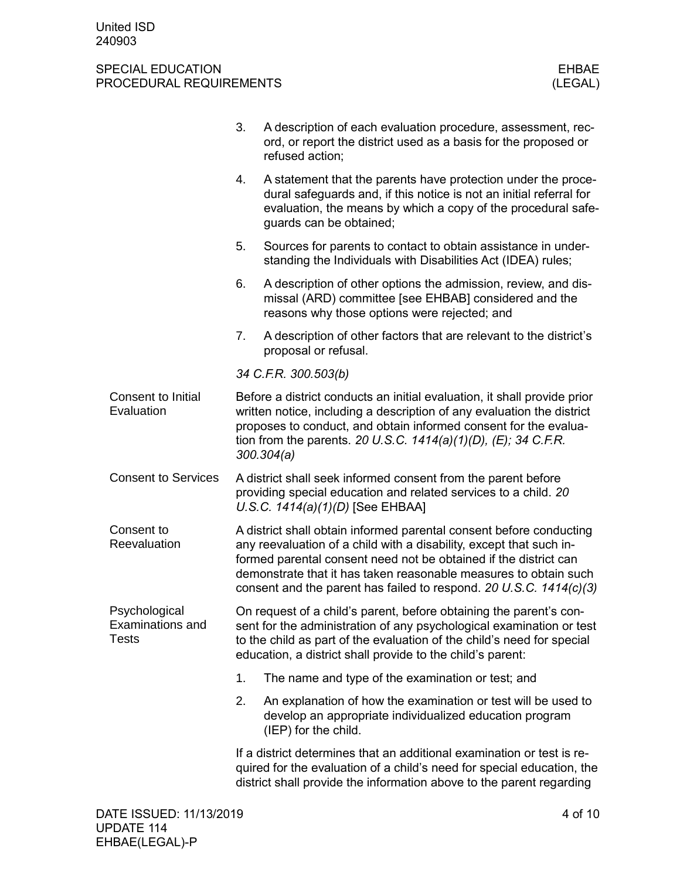|                                                          | 3.                                                                                                                                                                                                                                                                                                                                                       | A description of each evaluation procedure, assessment, rec-<br>ord, or report the district used as a basis for the proposed or<br>refused action;                                                                                                                                 |  |  |  |
|----------------------------------------------------------|----------------------------------------------------------------------------------------------------------------------------------------------------------------------------------------------------------------------------------------------------------------------------------------------------------------------------------------------------------|------------------------------------------------------------------------------------------------------------------------------------------------------------------------------------------------------------------------------------------------------------------------------------|--|--|--|
|                                                          | 4.                                                                                                                                                                                                                                                                                                                                                       | A statement that the parents have protection under the proce-<br>dural safeguards and, if this notice is not an initial referral for<br>evaluation, the means by which a copy of the procedural safe-<br>guards can be obtained;                                                   |  |  |  |
|                                                          | 5.                                                                                                                                                                                                                                                                                                                                                       | Sources for parents to contact to obtain assistance in under-<br>standing the Individuals with Disabilities Act (IDEA) rules;                                                                                                                                                      |  |  |  |
|                                                          | 6.                                                                                                                                                                                                                                                                                                                                                       | A description of other options the admission, review, and dis-<br>missal (ARD) committee [see EHBAB] considered and the<br>reasons why those options were rejected; and                                                                                                            |  |  |  |
|                                                          | 7.                                                                                                                                                                                                                                                                                                                                                       | A description of other factors that are relevant to the district's<br>proposal or refusal.                                                                                                                                                                                         |  |  |  |
|                                                          |                                                                                                                                                                                                                                                                                                                                                          | 34 C.F.R. 300.503(b)                                                                                                                                                                                                                                                               |  |  |  |
| Consent to Initial<br>Evaluation                         | Before a district conducts an initial evaluation, it shall provide prior<br>written notice, including a description of any evaluation the district<br>proposes to conduct, and obtain informed consent for the evalua-<br>tion from the parents. 20 U.S.C. $1414(a)(1)(D)$ , (E); 34 C.F.R.<br>300.304(a)                                                |                                                                                                                                                                                                                                                                                    |  |  |  |
| <b>Consent to Services</b>                               | A district shall seek informed consent from the parent before<br>providing special education and related services to a child. 20<br>U.S.C. $1414(a)(1)(D)$ [See EHBAA]                                                                                                                                                                                   |                                                                                                                                                                                                                                                                                    |  |  |  |
| Consent to<br>Reevaluation                               | A district shall obtain informed parental consent before conducting<br>any reevaluation of a child with a disability, except that such in-<br>formed parental consent need not be obtained if the district can<br>demonstrate that it has taken reasonable measures to obtain such<br>consent and the parent has failed to respond. 20 U.S.C. 1414(c)(3) |                                                                                                                                                                                                                                                                                    |  |  |  |
| Psychological<br><b>Examinations and</b><br><b>Tests</b> |                                                                                                                                                                                                                                                                                                                                                          | On request of a child's parent, before obtaining the parent's con-<br>sent for the administration of any psychological examination or test<br>to the child as part of the evaluation of the child's need for special<br>education, a district shall provide to the child's parent: |  |  |  |
|                                                          | 1.                                                                                                                                                                                                                                                                                                                                                       | The name and type of the examination or test; and                                                                                                                                                                                                                                  |  |  |  |
|                                                          | 2.                                                                                                                                                                                                                                                                                                                                                       | An explanation of how the examination or test will be used to<br>develop an appropriate individualized education program<br>(IEP) for the child.                                                                                                                                   |  |  |  |
|                                                          |                                                                                                                                                                                                                                                                                                                                                          | If a district determines that an additional examination or test is re-<br>quired for the evaluation of a child's need for special education, the<br>district shall provide the information above to the parent regarding                                                           |  |  |  |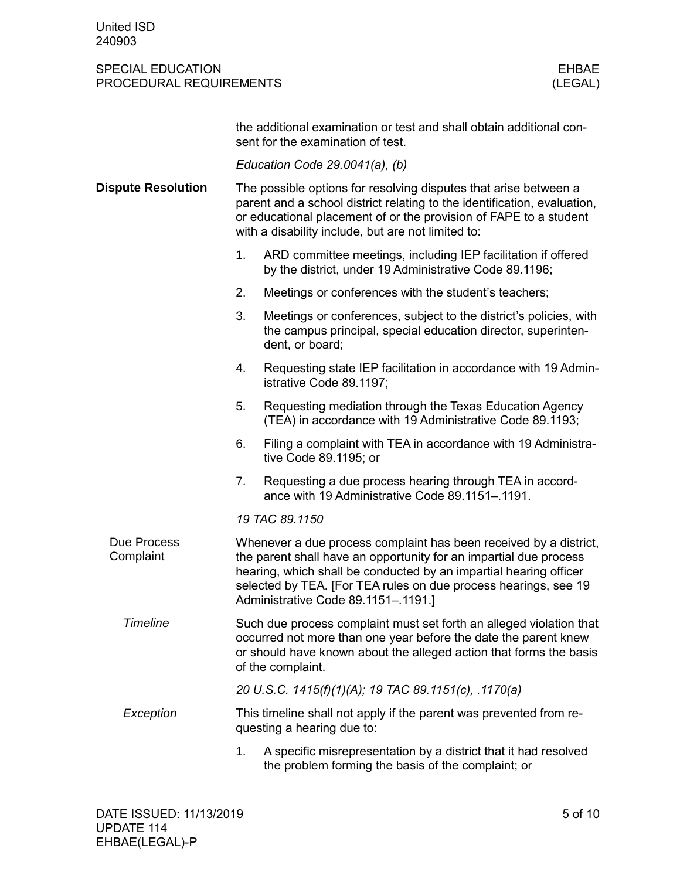|                           | the additional examination or test and shall obtain additional con-<br>sent for the examination of test.                                                                                                                                                                                                              |  |  |  |  |  |  |  |
|---------------------------|-----------------------------------------------------------------------------------------------------------------------------------------------------------------------------------------------------------------------------------------------------------------------------------------------------------------------|--|--|--|--|--|--|--|
|                           | Education Code $29.0041(a)$ , (b)                                                                                                                                                                                                                                                                                     |  |  |  |  |  |  |  |
| <b>Dispute Resolution</b> | The possible options for resolving disputes that arise between a<br>parent and a school district relating to the identification, evaluation,<br>or educational placement of or the provision of FAPE to a student<br>with a disability include, but are not limited to:                                               |  |  |  |  |  |  |  |
|                           | ARD committee meetings, including IEP facilitation if offered<br>1.<br>by the district, under 19 Administrative Code 89.1196;                                                                                                                                                                                         |  |  |  |  |  |  |  |
|                           | 2.<br>Meetings or conferences with the student's teachers;                                                                                                                                                                                                                                                            |  |  |  |  |  |  |  |
|                           | 3.<br>Meetings or conferences, subject to the district's policies, with<br>the campus principal, special education director, superinten-<br>dent, or board;                                                                                                                                                           |  |  |  |  |  |  |  |
|                           | 4.<br>Requesting state IEP facilitation in accordance with 19 Admin-<br>istrative Code 89.1197;                                                                                                                                                                                                                       |  |  |  |  |  |  |  |
|                           | Requesting mediation through the Texas Education Agency<br>5.<br>(TEA) in accordance with 19 Administrative Code 89.1193;                                                                                                                                                                                             |  |  |  |  |  |  |  |
|                           | 6.<br>Filing a complaint with TEA in accordance with 19 Administra-<br>tive Code 89.1195; or                                                                                                                                                                                                                          |  |  |  |  |  |  |  |
|                           | 7.<br>Requesting a due process hearing through TEA in accord-<br>ance with 19 Administrative Code 89.1151-.1191.                                                                                                                                                                                                      |  |  |  |  |  |  |  |
|                           | 19 TAC 89.1150                                                                                                                                                                                                                                                                                                        |  |  |  |  |  |  |  |
| Due Process<br>Complaint  | Whenever a due process complaint has been received by a district,<br>the parent shall have an opportunity for an impartial due process<br>hearing, which shall be conducted by an impartial hearing officer<br>selected by TEA. [For TEA rules on due process hearings, see 19<br>Administrative Code 89.1151-.1191.] |  |  |  |  |  |  |  |
| <b>Timeline</b>           | Such due process complaint must set forth an alleged violation that<br>occurred not more than one year before the date the parent knew<br>or should have known about the alleged action that forms the basis<br>of the complaint.                                                                                     |  |  |  |  |  |  |  |
|                           | 20 U.S.C. 1415(f)(1)(A); 19 TAC 89.1151(c), .1170(a)                                                                                                                                                                                                                                                                  |  |  |  |  |  |  |  |
| Exception                 | This timeline shall not apply if the parent was prevented from re-<br>questing a hearing due to:                                                                                                                                                                                                                      |  |  |  |  |  |  |  |
|                           | A specific misrepresentation by a district that it had resolved<br>1.<br>the problem forming the basis of the complaint; or                                                                                                                                                                                           |  |  |  |  |  |  |  |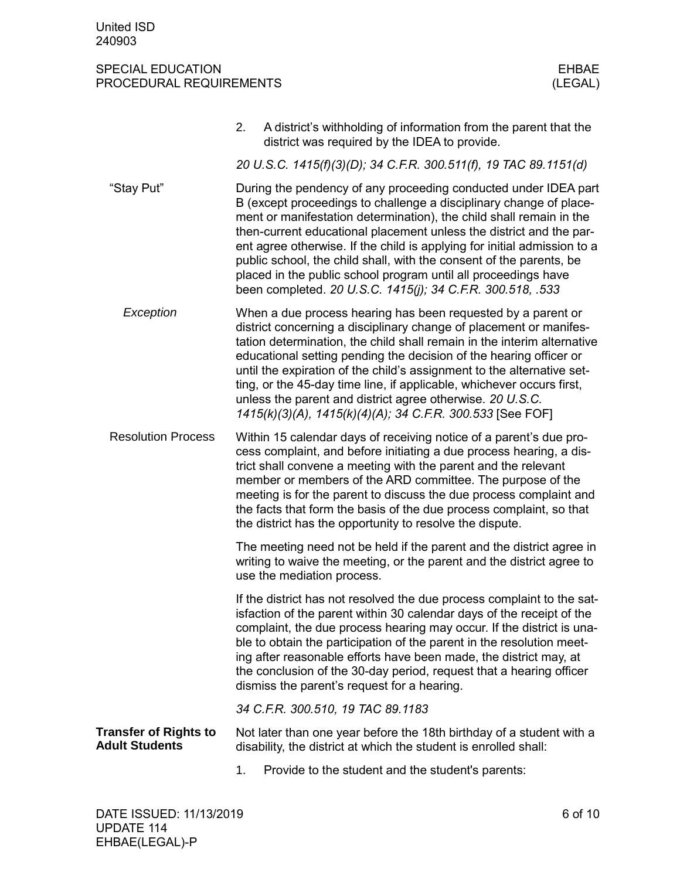|                                                       | 2. | A district's withholding of information from the parent that the<br>district was required by the IDEA to provide.                                                                                                                                                                                                                                                                                                                                                                                                                                                      |
|-------------------------------------------------------|----|------------------------------------------------------------------------------------------------------------------------------------------------------------------------------------------------------------------------------------------------------------------------------------------------------------------------------------------------------------------------------------------------------------------------------------------------------------------------------------------------------------------------------------------------------------------------|
|                                                       |    | 20 U.S.C. 1415(f)(3)(D); 34 C.F.R. 300.511(f), 19 TAC 89.1151(d)                                                                                                                                                                                                                                                                                                                                                                                                                                                                                                       |
| "Stay Put"                                            |    | During the pendency of any proceeding conducted under IDEA part<br>B (except proceedings to challenge a disciplinary change of place-<br>ment or manifestation determination), the child shall remain in the<br>then-current educational placement unless the district and the par-<br>ent agree otherwise. If the child is applying for initial admission to a<br>public school, the child shall, with the consent of the parents, be<br>placed in the public school program until all proceedings have<br>been completed. 20 U.S.C. 1415(j); 34 C.F.R. 300.518, .533 |
| Exception                                             |    | When a due process hearing has been requested by a parent or<br>district concerning a disciplinary change of placement or manifes-<br>tation determination, the child shall remain in the interim alternative<br>educational setting pending the decision of the hearing officer or<br>until the expiration of the child's assignment to the alternative set-<br>ting, or the 45-day time line, if applicable, whichever occurs first,<br>unless the parent and district agree otherwise. 20 U.S.C.<br>1415(k)(3)(A), 1415(k)(4)(A); 34 C.F.R. 300.533 [See FOF]       |
| <b>Resolution Process</b>                             |    | Within 15 calendar days of receiving notice of a parent's due pro-<br>cess complaint, and before initiating a due process hearing, a dis-<br>trict shall convene a meeting with the parent and the relevant<br>member or members of the ARD committee. The purpose of the<br>meeting is for the parent to discuss the due process complaint and<br>the facts that form the basis of the due process complaint, so that<br>the district has the opportunity to resolve the dispute.                                                                                     |
|                                                       |    | The meeting need not be held if the parent and the district agree in<br>writing to waive the meeting, or the parent and the district agree to<br>use the mediation process.                                                                                                                                                                                                                                                                                                                                                                                            |
|                                                       |    | If the district has not resolved the due process complaint to the sat-<br>isfaction of the parent within 30 calendar days of the receipt of the<br>complaint, the due process hearing may occur. If the district is una-<br>ble to obtain the participation of the parent in the resolution meet-<br>ing after reasonable efforts have been made, the district may, at<br>the conclusion of the 30-day period, request that a hearing officer<br>dismiss the parent's request for a hearing.                                                                           |
|                                                       |    | 34 C.F.R. 300.510, 19 TAC 89.1183                                                                                                                                                                                                                                                                                                                                                                                                                                                                                                                                      |
| <b>Transfer of Rights to</b><br><b>Adult Students</b> |    | Not later than one year before the 18th birthday of a student with a<br>disability, the district at which the student is enrolled shall:                                                                                                                                                                                                                                                                                                                                                                                                                               |
|                                                       | 1. | Provide to the student and the student's parents:                                                                                                                                                                                                                                                                                                                                                                                                                                                                                                                      |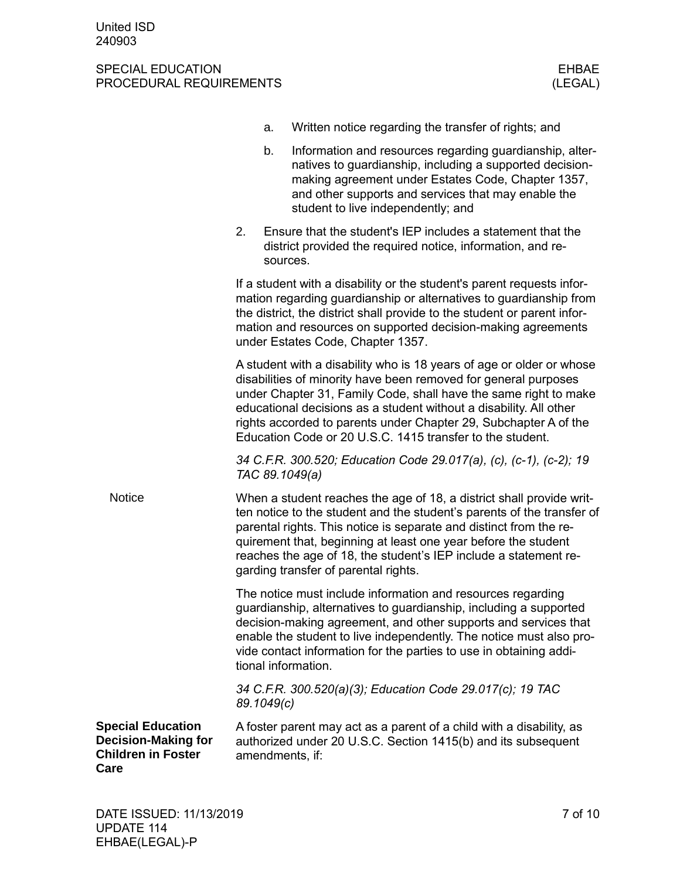|                                                                                             |            | a.       | Written notice regarding the transfer of rights; and                                                                                                                                                                                                                                                                                                                                                               |
|---------------------------------------------------------------------------------------------|------------|----------|--------------------------------------------------------------------------------------------------------------------------------------------------------------------------------------------------------------------------------------------------------------------------------------------------------------------------------------------------------------------------------------------------------------------|
|                                                                                             |            | b.       | Information and resources regarding guardianship, alter-<br>natives to guardianship, including a supported decision-<br>making agreement under Estates Code, Chapter 1357,<br>and other supports and services that may enable the<br>student to live independently; and                                                                                                                                            |
|                                                                                             | 2.         | sources. | Ensure that the student's IEP includes a statement that the<br>district provided the required notice, information, and re-                                                                                                                                                                                                                                                                                         |
|                                                                                             |            |          | If a student with a disability or the student's parent requests infor-<br>mation regarding guardianship or alternatives to guardianship from<br>the district, the district shall provide to the student or parent infor-<br>mation and resources on supported decision-making agreements<br>under Estates Code, Chapter 1357.                                                                                      |
|                                                                                             |            |          | A student with a disability who is 18 years of age or older or whose<br>disabilities of minority have been removed for general purposes<br>under Chapter 31, Family Code, shall have the same right to make<br>educational decisions as a student without a disability. All other<br>rights accorded to parents under Chapter 29, Subchapter A of the<br>Education Code or 20 U.S.C. 1415 transfer to the student. |
|                                                                                             |            |          | 34 C.F.R. 300.520; Education Code 29.017(a), (c), (c-1), (c-2); 19<br>TAC 89.1049(a)                                                                                                                                                                                                                                                                                                                               |
| <b>Notice</b>                                                                               |            |          | When a student reaches the age of 18, a district shall provide writ-<br>ten notice to the student and the student's parents of the transfer of<br>parental rights. This notice is separate and distinct from the re-<br>quirement that, beginning at least one year before the student<br>reaches the age of 18, the student's IEP include a statement re-<br>garding transfer of parental rights.                 |
|                                                                                             |            |          | The notice must include information and resources regarding<br>guardianship, alternatives to guardianship, including a supported<br>decision-making agreement, and other supports and services that<br>enable the student to live independently. The notice must also pro-<br>vide contact information for the parties to use in obtaining addi-<br>tional information.                                            |
|                                                                                             | 89.1049(c) |          | 34 C.F.R. 300.520(a)(3); Education Code 29.017(c); 19 TAC                                                                                                                                                                                                                                                                                                                                                          |
| <b>Special Education</b><br><b>Decision-Making for</b><br><b>Children in Foster</b><br>Care |            |          | A foster parent may act as a parent of a child with a disability, as<br>authorized under 20 U.S.C. Section 1415(b) and its subsequent<br>amendments, if:                                                                                                                                                                                                                                                           |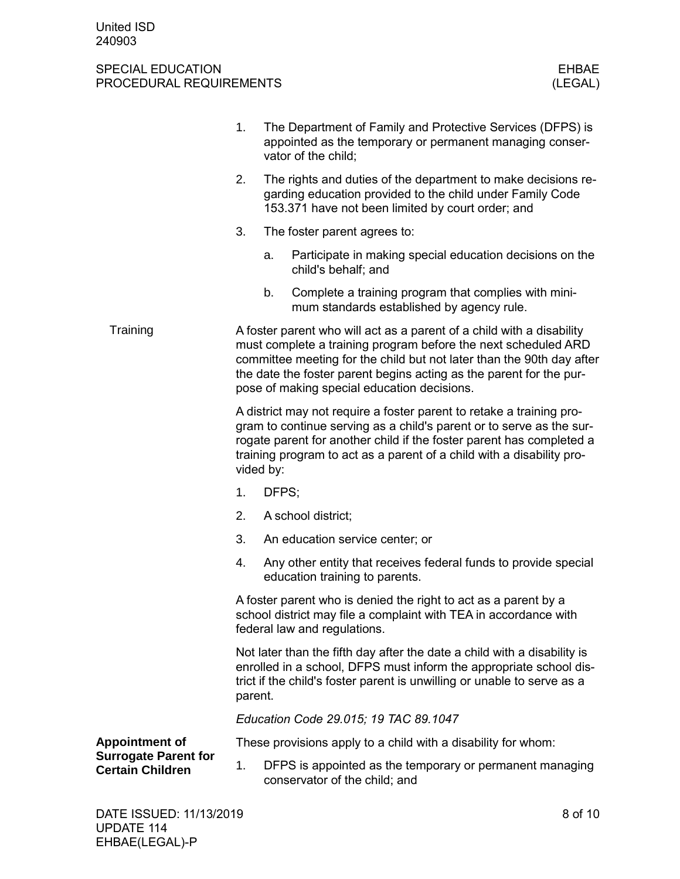|                                                        | 1.                                                                                                                                                                                                                                                                                                                                     |           | The Department of Family and Protective Services (DFPS) is<br>appointed as the temporary or permanent managing conser-<br>vator of the child;                                                                                                                                                 |  |  |  |
|--------------------------------------------------------|----------------------------------------------------------------------------------------------------------------------------------------------------------------------------------------------------------------------------------------------------------------------------------------------------------------------------------------|-----------|-----------------------------------------------------------------------------------------------------------------------------------------------------------------------------------------------------------------------------------------------------------------------------------------------|--|--|--|
|                                                        | 2.                                                                                                                                                                                                                                                                                                                                     |           | The rights and duties of the department to make decisions re-<br>garding education provided to the child under Family Code<br>153.371 have not been limited by court order; and                                                                                                               |  |  |  |
|                                                        | 3.                                                                                                                                                                                                                                                                                                                                     |           | The foster parent agrees to:                                                                                                                                                                                                                                                                  |  |  |  |
|                                                        |                                                                                                                                                                                                                                                                                                                                        | a.        | Participate in making special education decisions on the<br>child's behalf; and                                                                                                                                                                                                               |  |  |  |
|                                                        |                                                                                                                                                                                                                                                                                                                                        | b.        | Complete a training program that complies with mini-<br>mum standards established by agency rule.                                                                                                                                                                                             |  |  |  |
| Training                                               | A foster parent who will act as a parent of a child with a disability<br>must complete a training program before the next scheduled ARD<br>committee meeting for the child but not later than the 90th day after<br>the date the foster parent begins acting as the parent for the pur-<br>pose of making special education decisions. |           |                                                                                                                                                                                                                                                                                               |  |  |  |
|                                                        |                                                                                                                                                                                                                                                                                                                                        | vided by: | A district may not require a foster parent to retake a training pro-<br>gram to continue serving as a child's parent or to serve as the sur-<br>rogate parent for another child if the foster parent has completed a<br>training program to act as a parent of a child with a disability pro- |  |  |  |
|                                                        | 1.                                                                                                                                                                                                                                                                                                                                     | DFPS;     |                                                                                                                                                                                                                                                                                               |  |  |  |
|                                                        | 2.                                                                                                                                                                                                                                                                                                                                     |           | A school district;                                                                                                                                                                                                                                                                            |  |  |  |
|                                                        | 3.                                                                                                                                                                                                                                                                                                                                     |           | An education service center; or                                                                                                                                                                                                                                                               |  |  |  |
|                                                        | 4.                                                                                                                                                                                                                                                                                                                                     |           | Any other entity that receives federal funds to provide special<br>education training to parents.                                                                                                                                                                                             |  |  |  |
|                                                        | A foster parent who is denied the right to act as a parent by a<br>school district may file a complaint with TEA in accordance with<br>federal law and regulations.                                                                                                                                                                    |           |                                                                                                                                                                                                                                                                                               |  |  |  |
|                                                        | Not later than the fifth day after the date a child with a disability is<br>enrolled in a school, DFPS must inform the appropriate school dis-<br>trict if the child's foster parent is unwilling or unable to serve as a<br>parent.                                                                                                   |           |                                                                                                                                                                                                                                                                                               |  |  |  |
|                                                        |                                                                                                                                                                                                                                                                                                                                        |           | Education Code 29.015; 19 TAC 89.1047                                                                                                                                                                                                                                                         |  |  |  |
| <b>Appointment of</b>                                  |                                                                                                                                                                                                                                                                                                                                        |           | These provisions apply to a child with a disability for whom:                                                                                                                                                                                                                                 |  |  |  |
| <b>Surrogate Parent for</b><br><b>Certain Children</b> | 1.                                                                                                                                                                                                                                                                                                                                     |           | DFPS is appointed as the temporary or permanent managing<br>conservator of the child; and                                                                                                                                                                                                     |  |  |  |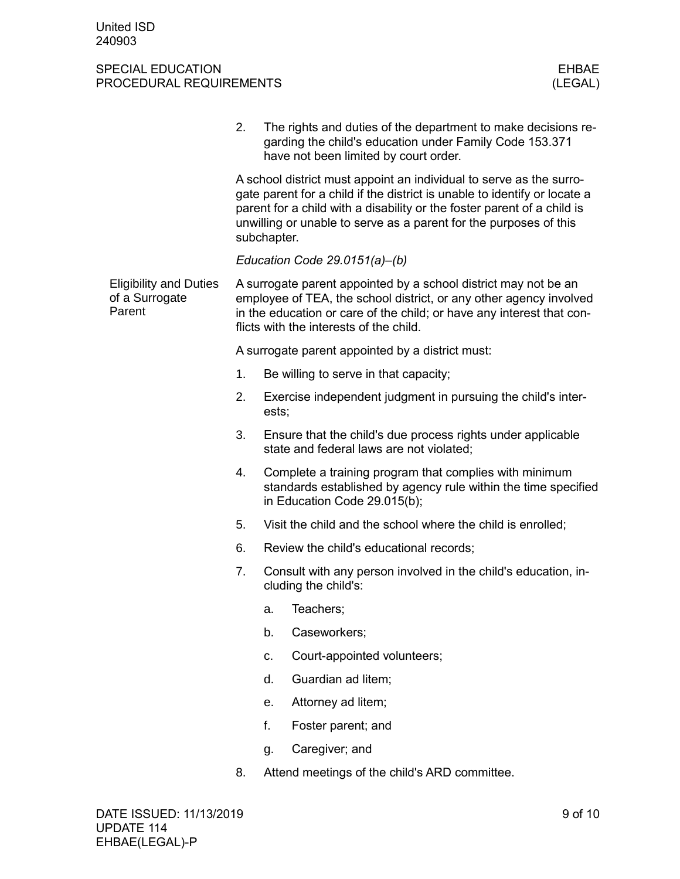|                                                           | 2. | The rights and duties of the department to make decisions re-<br>garding the child's education under Family Code 153.371<br>have not been limited by court order.                                                                                                                                               |
|-----------------------------------------------------------|----|-----------------------------------------------------------------------------------------------------------------------------------------------------------------------------------------------------------------------------------------------------------------------------------------------------------------|
|                                                           |    | A school district must appoint an individual to serve as the surro-<br>gate parent for a child if the district is unable to identify or locate a<br>parent for a child with a disability or the foster parent of a child is<br>unwilling or unable to serve as a parent for the purposes of this<br>subchapter. |
|                                                           |    | Education Code 29.0151(a)-(b)                                                                                                                                                                                                                                                                                   |
| <b>Eligibility and Duties</b><br>of a Surrogate<br>Parent |    | A surrogate parent appointed by a school district may not be an<br>employee of TEA, the school district, or any other agency involved<br>in the education or care of the child; or have any interest that con-<br>flicts with the interests of the child.                                                       |
|                                                           |    | A surrogate parent appointed by a district must:                                                                                                                                                                                                                                                                |
|                                                           | 1. | Be willing to serve in that capacity;                                                                                                                                                                                                                                                                           |
|                                                           | 2. | Exercise independent judgment in pursuing the child's inter-<br>ests;                                                                                                                                                                                                                                           |
|                                                           | 3. | Ensure that the child's due process rights under applicable<br>state and federal laws are not violated;                                                                                                                                                                                                         |
|                                                           | 4. | Complete a training program that complies with minimum<br>standards established by agency rule within the time specified<br>in Education Code 29.015(b);                                                                                                                                                        |
|                                                           | 5. | Visit the child and the school where the child is enrolled;                                                                                                                                                                                                                                                     |
|                                                           | 6. | Review the child's educational records;                                                                                                                                                                                                                                                                         |
|                                                           | 7. | Consult with any person involved in the child's education, in-<br>cluding the child's:                                                                                                                                                                                                                          |
|                                                           |    | Teachers;<br>а.                                                                                                                                                                                                                                                                                                 |
|                                                           |    | Caseworkers;<br>b.                                                                                                                                                                                                                                                                                              |
|                                                           |    | Court-appointed volunteers;<br>C.                                                                                                                                                                                                                                                                               |
|                                                           |    | Guardian ad litem;<br>d.                                                                                                                                                                                                                                                                                        |
|                                                           |    | Attorney ad litem;<br>е.                                                                                                                                                                                                                                                                                        |
|                                                           |    | f.<br>Foster parent; and                                                                                                                                                                                                                                                                                        |
|                                                           |    | Caregiver; and<br>g.                                                                                                                                                                                                                                                                                            |
|                                                           | 8. | Attend meetings of the child's ARD committee.                                                                                                                                                                                                                                                                   |
|                                                           |    |                                                                                                                                                                                                                                                                                                                 |